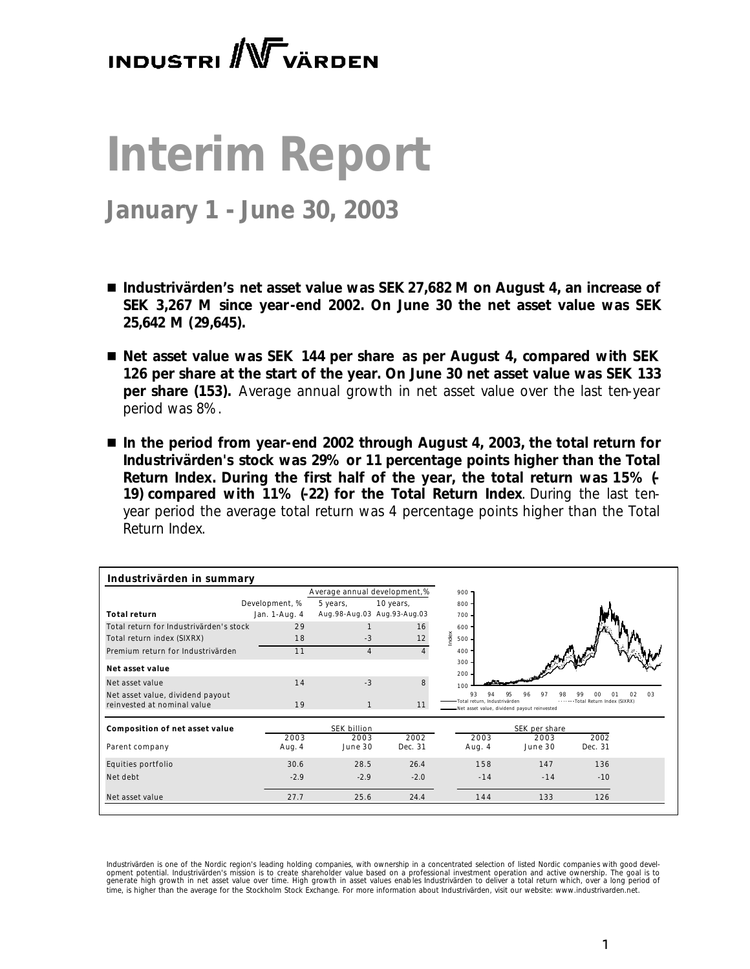# **INDUSTRI** W VÄRDEN

# **Interim Report**

## **January 1 - June 30, 2003**

- *Industrivärden's net asset value was SEK 27,682 M on August 4, an increase of SEK 3,267 M since year-end 2002. On June 30 the net asset value was SEK 25,642 M (29,645).*
- Net asset value was SEK 144 per share as per August 4, compared with SEK *126 per share at the start of the year. On June 30 net asset value was SEK 133 per share (153). Average annual growth in net asset value over the last ten-year period was 8%.*
- In the period from year-end 2002 through August 4, 2003, the total return for *Industrivärden's stock was 29% or 11 percentage points higher than the Total Return Index. During the first half of the year, the total return was 15% (- 19) compared with 11% (-22) for the Total Return Index. During the last tenyear period the average total return was 4 percentage points higher than the Total Return Index.*

|                                                                 | Industrivärden in summary | Average annual development,% |           | $900 -$                            |                                                      |                                        |
|-----------------------------------------------------------------|---------------------------|------------------------------|-----------|------------------------------------|------------------------------------------------------|----------------------------------------|
|                                                                 | Development, %            | 5 years,                     | 10 years, | 800                                |                                                      |                                        |
| <b>Total return</b>                                             | Jan. 1-Aug. 4             | Aug.98-Aug.03 Aug.93-Aug.03  |           | 700.                               |                                                      |                                        |
| Total return for Industrivärden's stock                         | 29                        |                              | 16        | 600.                               |                                                      |                                        |
| Total return index (SIXRX)                                      | 18                        | $-3$                         | 12        | Index<br>$500 -$                   |                                                      |                                        |
| Premium return for Industrivärden                               | 11                        | $\overline{4}$               |           | 400                                |                                                      |                                        |
| Net asset value                                                 |                           |                              |           | 300.<br>$200 -$                    |                                                      |                                        |
| Net asset value                                                 | 14                        | $-3$                         |           | 100                                |                                                      |                                        |
| Net asset value, dividend payout<br>reinvested at nominal value | 19                        |                              | 11        | 93<br>Total return, Industrivärden | $Q_1$<br>Net asset value, dividend payout reinvested | 99<br>01<br>Total Return Index (SIXRX) |
| Composition of net asset value                                  |                           | SEK billion                  |           |                                    | SEK per share                                        |                                        |
|                                                                 | 2003                      | 2003                         | 2002      | 2003                               | 2003                                                 | 2002                                   |
|                                                                 |                           |                              |           | Aug. 4                             | June 30                                              | Dec. 31                                |
|                                                                 | Aug. 4                    | June 30                      | Dec. 31   |                                    |                                                      |                                        |
| Parent company<br>Equities portfolio                            | 30.6                      | 28.5                         | 26.4      | 158                                | 147                                                  | 136                                    |
| Net debt                                                        | $-2.9$                    | $-2.9$                       | $-2.0$    | $-14$                              | $-14$                                                | $-10$                                  |

Industrivärden is one of the Nordic region's leading holding companies, with ownership in a concentrated selection of listed Nordic companies with good devel-<br>opment potential. Industrivärden's mission is to create shareho generate high growth in net asset value over time. High growth in asset values enables Industrivarden to deliver a total return which, over a long period of *time, is higher than the average for the Stockholm Stock Exchange. For more information about Industrivärden, visit our website: www.industrivarden.net.*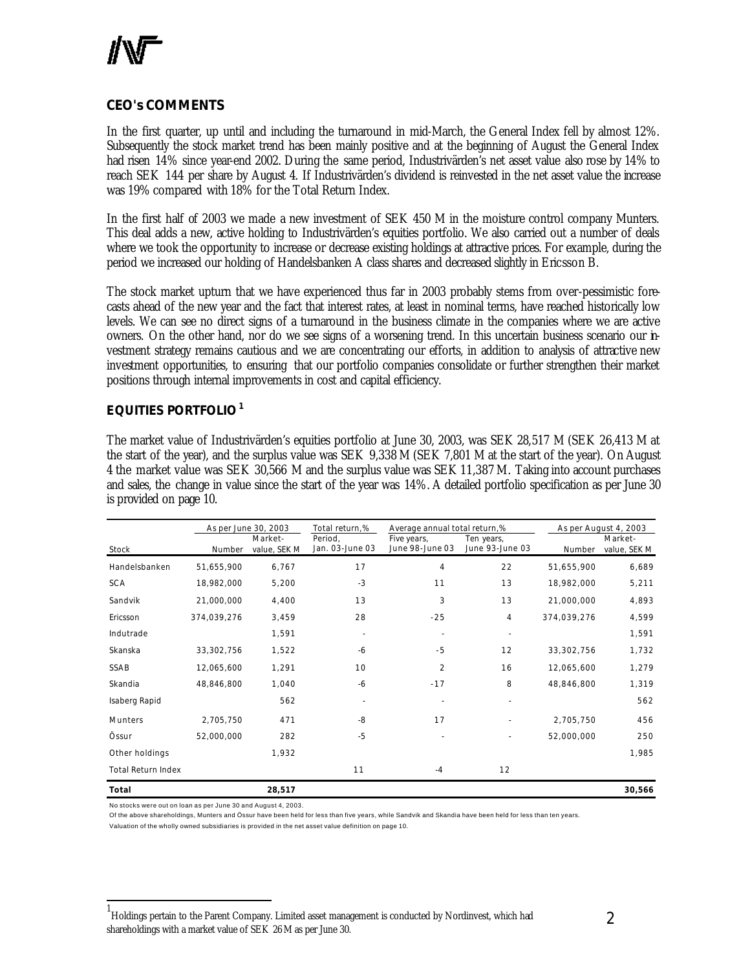

### **CEO's COMMENTS**

In the first quarter, up until and including the turnaround in mid-March, the General Index fell by almost 12%. Subsequently the stock market trend has been mainly positive and at the beginning of August the General Index had risen 14% since year-end 2002. During the same period, Industrivärden's net asset value also rose by 14% to reach SEK 144 per share by August 4. If Industrivärden's dividend is reinvested in the net asset value the increase was 19% compared with 18% for the Total Return Index.

In the first half of 2003 we made a new investment of SEK 450 M in the moisture control company Munters. This deal adds a new, active holding to Industrivärden's equities portfolio. We also carried out a number of deals where we took the opportunity to increase or decrease existing holdings at attractive prices. For example, during the period we increased our holding of Handelsbanken A class shares and decreased slightly in Ericsson B.

The stock market upturn that we have experienced thus far in 2003 probably stems from over-pessimistic forecasts ahead of the new year and the fact that interest rates, at least in nominal terms, have reached historically low levels. We can see no direct signs of a turnaround in the business climate in the companies where we are active owners. On the other hand, nor do we see signs of a worsening trend. In this uncertain business scenario our investment strategy remains cautious and we are concentrating our efforts, in addition to analysis of attractive new investment opportunities, to ensuring that our portfolio companies consolidate or further strengthen their market positions through internal improvements in cost and capital efficiency.

### **EQUITIES PORTFOLIO<sup>1</sup>**

The market value of Industrivärden's equities portfolio at June 30, 2003, was SEK 28,517 M (SEK 26,413 M at the start of the year), and the surplus value was SEK 9,338 M (SEK 7,801 M at the start of the year). On August 4 the market value was SEK 30,566 M and the surplus value was SEK 11,387 M. Taking into account purchases and sales, the change in value since the start of the year was 14%. A detailed portfolio specification as per June 30 is provided on page 10.

|                           |             | As per June 30, 2003    | Total return,%             | Average annual total return,%  |                               |             | As per August 4, 2003   |
|---------------------------|-------------|-------------------------|----------------------------|--------------------------------|-------------------------------|-------------|-------------------------|
| Stock                     | Number      | Market-<br>value, SEK M | Period,<br>Jan. 03-June 03 | Five years,<br>June 98-June 03 | Ten years,<br>June 93-June 03 | Number      | Market-<br>value, SEK M |
| Handelsbanken             | 51,655,900  | 6,767                   | 17                         | 4                              | 22                            | 51,655,900  | 6,689                   |
| <b>SCA</b>                | 18,982,000  | 5,200                   | $-3$                       | 11                             | 13                            | 18,982,000  | 5,211                   |
|                           |             |                         |                            |                                |                               |             |                         |
| Sandvik                   | 21,000,000  | 4,400                   | 13                         | 3                              | 13                            | 21,000,000  | 4,893                   |
| Ericsson                  | 374,039,276 | 3,459                   | 28                         | $-25$                          | 4                             | 374,039,276 | 4,599                   |
| Indutrade                 |             | 1,591                   |                            |                                | $\sim$                        |             | 1,591                   |
| Skanska                   | 33,302,756  | 1,522                   | $-6$                       | -5                             | 12                            | 33,302,756  | 1,732                   |
| SSAB                      | 12,065,600  | 1,291                   | 10                         | $\overline{2}$                 | 16                            | 12,065,600  | 1,279                   |
| Skandia                   | 48,846,800  | 1,040                   | -6                         | $-17$                          | 8                             | 48,846,800  | 1,319                   |
| Isaberg Rapid             |             | 562                     |                            |                                |                               |             | 562                     |
| Munters                   | 2,705,750   | 471                     | -8                         | 17                             |                               | 2,705,750   | 456                     |
| Össur                     | 52,000,000  | 282                     | $-5$                       |                                |                               | 52,000,000  | 250                     |
| Other holdings            |             | 1,932                   |                            |                                |                               |             | 1,985                   |
| <b>Total Return Index</b> |             |                         | 11                         | $-4$                           | 12                            |             |                         |
| Total                     |             | 28,517                  |                            |                                |                               |             | 30,566                  |

No stocks were out on loan as per June 30 and August 4, 2003.

l

Of the above shareholdings, Munters and Össur have been held for less than five years, while Sandvik and Skandia have been held for less than ten years.

Valuation of the wholly owned subsidiaries is provided in the net asset value definition on page 10.

<sup>1</sup> Holdings pertain to the Parent Company. Limited asset management is conducted by Nordinvest, which had shareholdings with a market value of SEK 26 M as per June 30.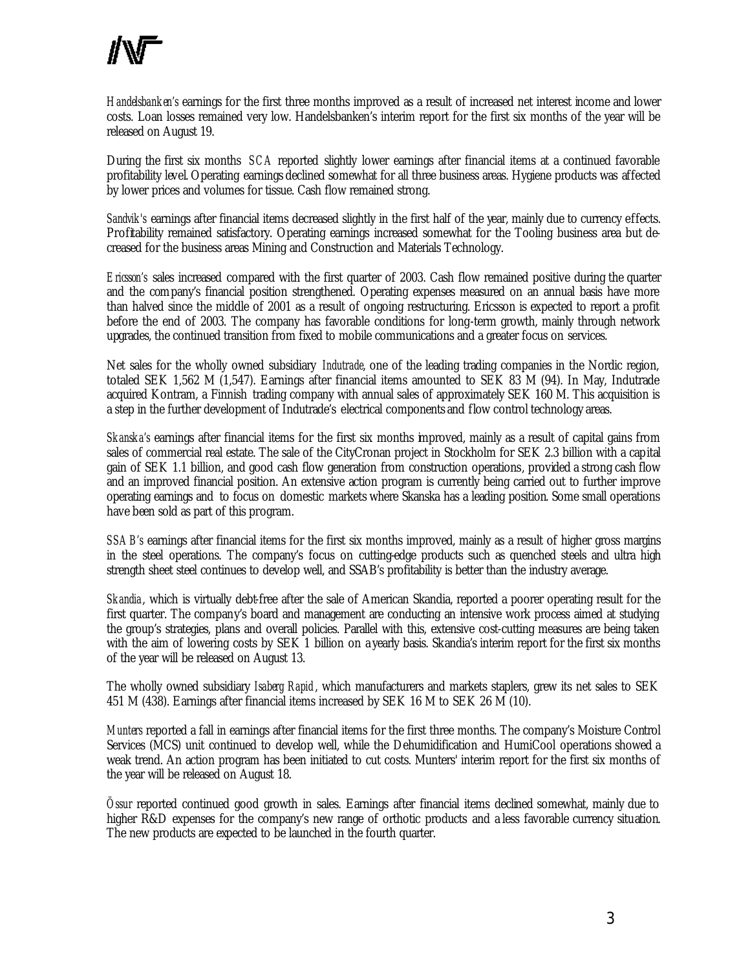*Handelsbanken's* earnings for the first three months improved as a result of increased net interest income and lower costs. Loan losses remained very low. Handelsbanken's interim report for the first six months of the year will be released on August 19.

During the first six months *SCA* reported slightly lower earnings after financial items at a continued favorable profitability level. Operating earnings declined somewhat for all three business areas. Hygiene products was affected by lower prices and volumes for tissue. Cash flow remained strong.

*Sandvik's* earnings after financial items decreased slightly in the first half of the year, mainly due to currency effects. Profitability remained satisfactory. Operating earnings increased somewhat for the Tooling business area but decreased for the business areas Mining and Construction and Materials Technology.

*Ericsson's* sales increased compared with the first quarter of 2003. Cash flow remained positive during the quarter and the company's financial position strengthened. Operating expenses measured on an annual basis have more than halved since the middle of 2001 as a result of ongoing restructuring. Ericsson is expected to report a profit before the end of 2003. The company has favorable conditions for long-term growth, mainly through network upgrades, the continued transition from fixed to mobile communications and a greater focus on services.

Net sales for the wholly owned subsidiary *Indutrade*, one of the leading trading companies in the Nordic region, totaled SEK 1,562 M (1,547). Earnings after financial items amounted to SEK 83 M (94). In May, Indutrade acquired Kontram, a Finnish trading company with annual sales of approximately SEK 160 M. This acquisition is a step in the further development of Indutrade's electrical components and flow control technology areas.

*Skanska's* earnings after financial items for the first six months improved, mainly as a result of capital gains from sales of commercial real estate. The sale of the CityCronan project in Stockholm for SEK 2.3 billion with a capital gain of SEK 1.1 billion, and good cash flow generation from construction operations, provided a strong cash flow and an improved financial position. An extensive action program is currently being carried out to further improve operating earnings and to focus on domestic markets where Skanska has a leading position. Some small operations have been sold as part of this program.

*SSAB's* earnings after financial items for the first six months improved, mainly as a result of higher gross margins in the steel operations. The company's focus on cutting-edge products such as quenched steels and ultra high strength sheet steel continues to develop well, and SSAB's profitability is better than the industry average.

*Skandia*, which is virtually debt-free after the sale of American Skandia, reported a poorer operating result for the first quarter. The company's board and management are conducting an intensive work process aimed at studying the group's strategies, plans and overall policies. Parallel with this, extensive cost-cutting measures are being taken with the aim of lowering costs by SEK 1 billion on a yearly basis. Skandia's interim report for the first six months of the year will be released on August 13.

The wholly owned subsidiary *Isaberg Rapid* , which manufacturers and markets staplers, grew its net sales to SEK 451 M (438). Earnings after financial items increased by SEK 16 M to SEK 26 M (10).

*Munters* reported a fall in earnings after financial items for the first three months. The company's Moisture Control Services (MCS) unit continued to develop well, while the Dehumidification and HumiCool operations showed a weak trend. An action program has been initiated to cut costs. Munters' interim report for the first six months of the year will be released on August 18.

*Össur* reported continued good growth in sales. Earnings after financial items declined somewhat, mainly due to higher R&D expenses for the company's new range of orthotic products and a less favorable currency situation. The new products are expected to be launched in the fourth quarter.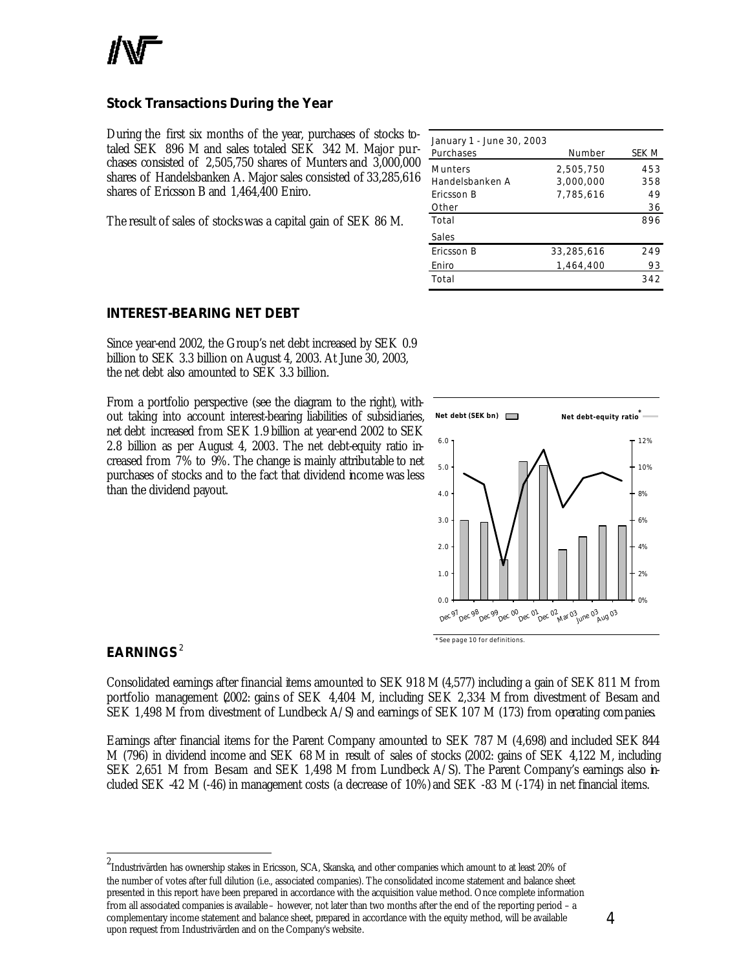

### **Stock Transactions During the Year**

During the first six months of the year, purchases of stocks totaled SEK 896 M and sales totaled SEK 342 M. Major purchases consisted of 2,505,750 shares of Munters and 3,000,000 shares of Handelsbanken A. Major sales consisted of 33,285,616 shares of Ericsson B and 1,464,400 Eniro.

The result of sales of stocks was a capital gain of SEK 86 M.

| January 1 - June 30, 2003 |            |       |
|---------------------------|------------|-------|
| Purchases                 | Number     | SEK M |
| <b>Munters</b>            | 2,505,750  | 453   |
| Handelsbanken A           | 3,000,000  | 358   |
| Fricsson B                | 7,785,616  | 49    |
| Other                     |            | 36    |
| Total                     |            | 896   |
| Sales                     |            |       |
| Ericsson B                | 33,285,616 | 249   |
| Eniro                     | 1.464.400  | 93    |
| Total                     |            | 342   |

### **INTEREST-BEARING NET DEBT**

Since year-end 2002, the Group's net debt increased by SEK 0.9 billion to SEK 3.3 billion on August 4, 2003. At June 30, 2003, the net debt also amounted to SEK 3.3 billion.

From a portfolio perspective (see the diagram to the right), without taking into account interest-bearing liabilities of subsidiaries, net debt increased from SEK 1.9 billion at year-end 2002 to SEK 2.8 billion as per August 4, 2003. The net debt-equity ratio increased from 7% to 9%. The change is mainly attributable to net purchases of stocks and to the fact that dividend income was less than the dividend payout.



### **EARNINGS** <sup>2</sup>

l

Consolidated earnings after financial items amounted to SEK 918 M (4,577) including a gain of SEK 811 M from portfolio management (2002: gains of SEK 4,404 M, including SEK 2,334 M from divestment of Besam and SEK 1,498 M from divestment of Lundbeck A/S) and earnings of SEK 107 M (173) from operating companies.

Earnings after financial items for the Parent Company amounted to SEK 787 M (4,698) and included SEK 844 M (796) in dividend income and SEK 68 M in result of sales of stocks (2002: gains of SEK 4,122 M, including SEK 2,651 M from Besam and SEK 1,498 M from Lundbeck A/S). The Parent Company's earnings also included SEK -42 M (-46) in management costs (a decrease of 10%) and SEK -83 M (-174) in net financial items.

<sup>2</sup> Industrivärden has ownership stakes in Ericsson, SCA, Skanska, and other companies which amount to at least 20% of the number of votes after full dilution (i.e., associated companies). The consolidated income statement and balance sheet presented in this report have been prepared in accordance with the acquisition value method. Once complete information from all associated companies is available – however, not later than two months after the end of the reporting period – a complementary income statement and balance sheet, prepared in accordance with the equity method, will be available upon request from Industrivärden and on the Company's website.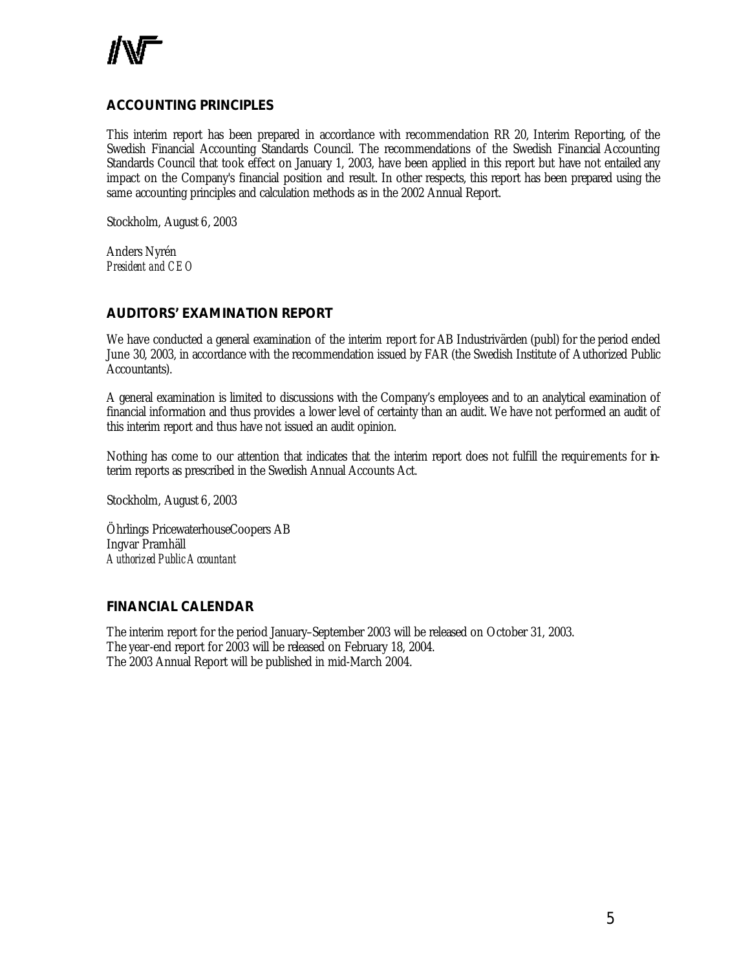

### **ACCOUNTING PRINCIPLES**

This interim report has been prepared in accordance with recommendation RR 20, Interim Reporting, of the Swedish Financial Accounting Standards Council. The recommendations of the Swedish Financial Accounting Standards Council that took effect on January 1, 2003, have been applied in this report but have not entailed any impact on the Company's financial position and result. In other respects, this report has been prepared using the same accounting principles and calculation methods as in the 2002 Annual Report.

Stockholm, August 6, 2003

Anders Nyrén *President and CEO*

### **AUDITORS' EXAMINATION REPORT**

We have conducted a general examination of the interim report for AB Industrivärden (publ) for the period ended June 30, 2003, in accordance with the recommendation issued by FAR (the Swedish Institute of Authorized Public Accountants).

A general examination is limited to discussions with the Company's employees and to an analytical examination of financial information and thus provides a lower level of certainty than an audit. We have not performed an audit of this interim report and thus have not issued an audit opinion.

Nothing has come to our attention that indicates that the interim report does not fulfill the requir ements for interim reports as prescribed in the Swedish Annual Accounts Act.

Stockholm, August 6, 2003

Öhrlings PricewaterhouseCoopers AB Ingvar Pramhäll *Authorized Public Accountant*

### **FINANCIAL CALENDAR**

The interim report for the period January–September 2003 will be released on October 31, 2003. The year-end report for 2003 will be released on February 18, 2004. The 2003 Annual Report will be published in mid-March 2004.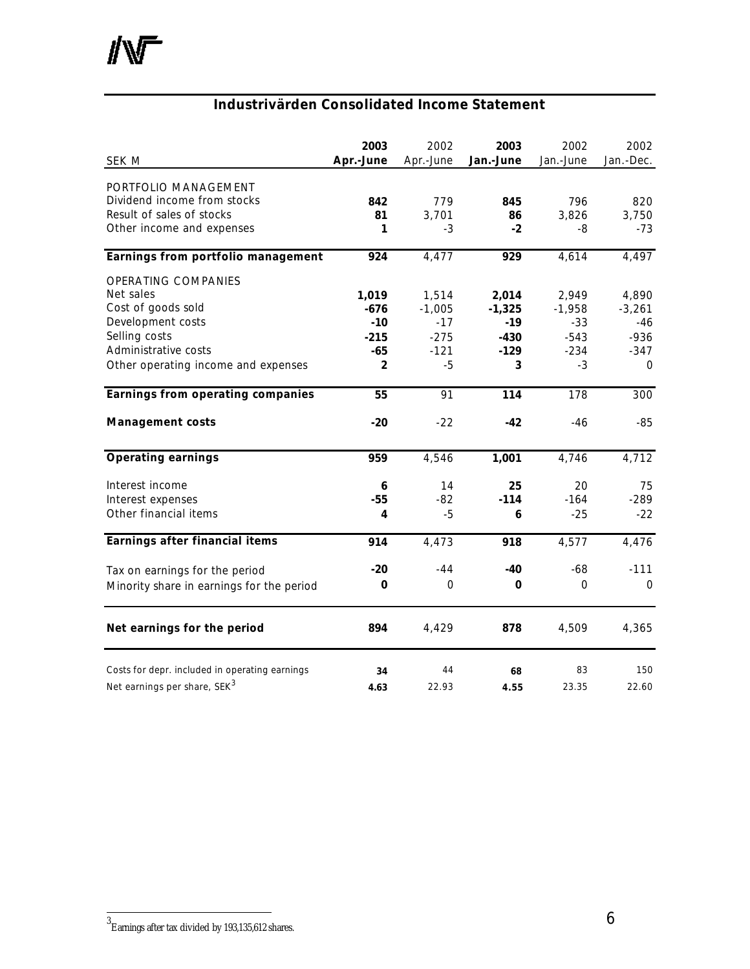### **Industrivärden Consolidated Income Statement**

| SEK M                                                                                                                                                              | 2003<br>Apr.-June                                         | 2002<br>Apr.-June                                      | 2003<br>Jan.-June                                   | 2002<br>Jan.-June                                      | 2002<br>Jan.-Dec.                                        |
|--------------------------------------------------------------------------------------------------------------------------------------------------------------------|-----------------------------------------------------------|--------------------------------------------------------|-----------------------------------------------------|--------------------------------------------------------|----------------------------------------------------------|
| PORTFOLIO MANAGEMENT<br>Dividend income from stocks<br>Result of sales of stocks<br>Other income and expenses                                                      | 842<br>81<br>1                                            | 779<br>3,701<br>-3                                     | 845<br>86<br>$-2$                                   | 796<br>3,826<br>-8                                     | 820<br>3,750<br>$-73$                                    |
| Earnings from portfolio management                                                                                                                                 | 924                                                       | 4,477                                                  | 929                                                 | 4,614                                                  | 4,497                                                    |
| <b>OPERATING COMPANIES</b><br>Net sales<br>Cost of goods sold<br>Development costs<br>Selling costs<br>Administrative costs<br>Other operating income and expenses | 1,019<br>-676<br>$-10$<br>$-215$<br>-65<br>$\overline{2}$ | 1,514<br>$-1,005$<br>$-17$<br>$-275$<br>$-121$<br>$-5$ | 2,014<br>$-1,325$<br>$-19$<br>$-430$<br>$-129$<br>3 | 2,949<br>$-1,958$<br>$-33$<br>$-543$<br>$-234$<br>$-3$ | 4,890<br>$-3,261$<br>-46<br>$-936$<br>$-347$<br>$\Omega$ |
| Earnings from operating companies                                                                                                                                  | 55                                                        | 91                                                     | 114                                                 | 178                                                    | 300                                                      |
| <b>Management costs</b>                                                                                                                                            | $-20$                                                     | $-22$                                                  | $-42$                                               | $-46$                                                  | $-85$                                                    |
| <b>Operating earnings</b>                                                                                                                                          | 959                                                       | 4,546                                                  | 1,001                                               | 4,746                                                  | 4,712                                                    |
| Interest income<br>Interest expenses<br>Other financial items                                                                                                      | 6<br>$-55$<br>4                                           | 14<br>$-82$<br>$-5$                                    | 25<br>$-114$<br>6                                   | 20<br>$-164$<br>$-25$                                  | 75<br>$-289$<br>$-22$                                    |
| Earnings after financial items                                                                                                                                     | 914                                                       | 4,473                                                  | 918                                                 | 4,577                                                  | 4,476                                                    |
| Tax on earnings for the period<br>Minority share in earnings for the period                                                                                        | $-20$<br>0                                                | $-44$<br>$\Omega$                                      | $-40$<br>0                                          | $-68$<br>$\Omega$                                      | $-111$<br>$\Omega$                                       |
| Net earnings for the period                                                                                                                                        | 894                                                       | 4,429                                                  | 878                                                 | 4,509                                                  | 4,365                                                    |
| Costs for depr. included in operating earnings<br>Net earnings per share, SEK <sup>3</sup>                                                                         | 34<br>4.63                                                | 44<br>22.93                                            | 68<br>4.55                                          | 83<br>23.35                                            | 150<br>22.60                                             |

 3 Earnings after tax divided by 193,135,612 shares.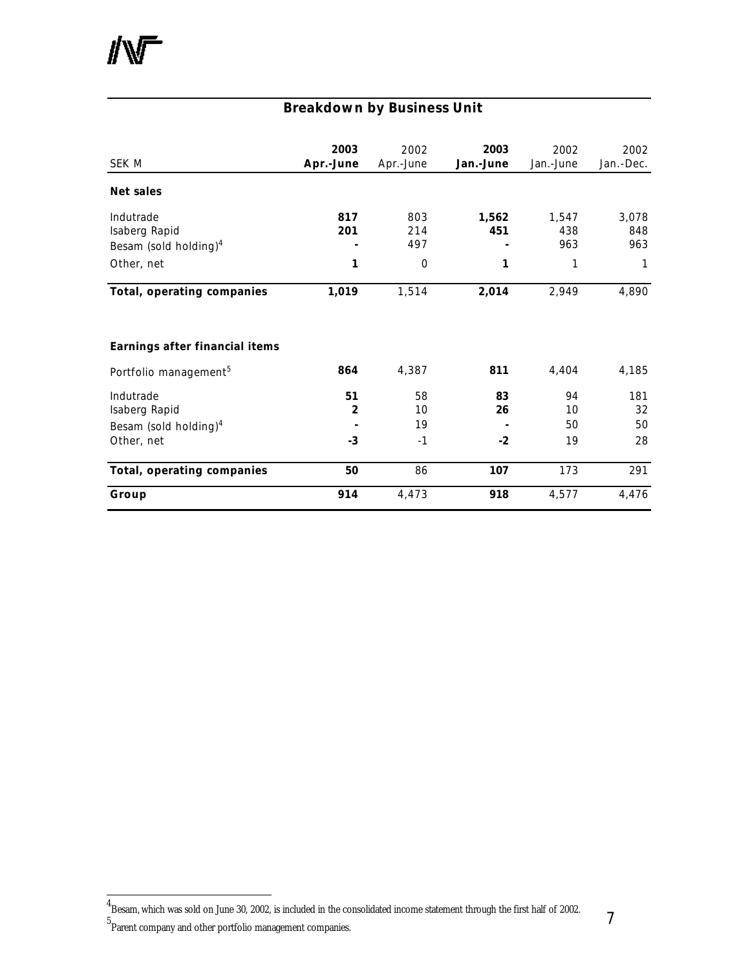## **Breakdown by Business Unit**

| SEK M                             | 2003<br>Apr.-June | 2002<br>Apr.-June | 2003<br>Jan.-June | 2002<br>Jan.-June | 2002<br>Jan.-Dec. |
|-----------------------------------|-------------------|-------------------|-------------------|-------------------|-------------------|
| Net sales                         |                   |                   |                   |                   |                   |
| Indutrade                         | 817               | 803               | 1,562             | 1,547             | 3,078             |
| Isaberg Rapid                     | 201               | 214               | 451               | 438               | 848               |
| Besam (sold holding) $4$          |                   | 497               |                   | 963               | 963               |
| Other, net                        | 1                 | $\overline{0}$    | 1                 | 1                 | 1                 |
| Total, operating companies        | 1,019             | 1,514             | 2,014             | 2,949             | 4,890             |
| Earnings after financial items    |                   |                   |                   |                   |                   |
| Portfolio management <sup>5</sup> | 864               | 4,387             | 811               | 4,404             | 4,185             |
| Indutrade                         | 51                | 58                | 83                | 94                | 181               |
| Isaberg Rapid                     | $\mathbf{2}$      | 10                | 26                | 10                | 32                |
| Besam (sold holding) <sup>4</sup> |                   | 19                |                   | 50                | 50                |
| Other, net                        | $-3$              | $-1$              | $-2$              | 19                | 28                |
| Total, operating companies        | 50                | 86                | 107               | 173               | 291               |
| Group                             | 914               | 4,473             | 918               | 4,577             | 4,476             |

l

 $^4$ Besam, which was sold on June 30, 2002, is included in the consolidated income statement through the first half of 2002.

<sup>5</sup> Parent company and other portfolio management companies.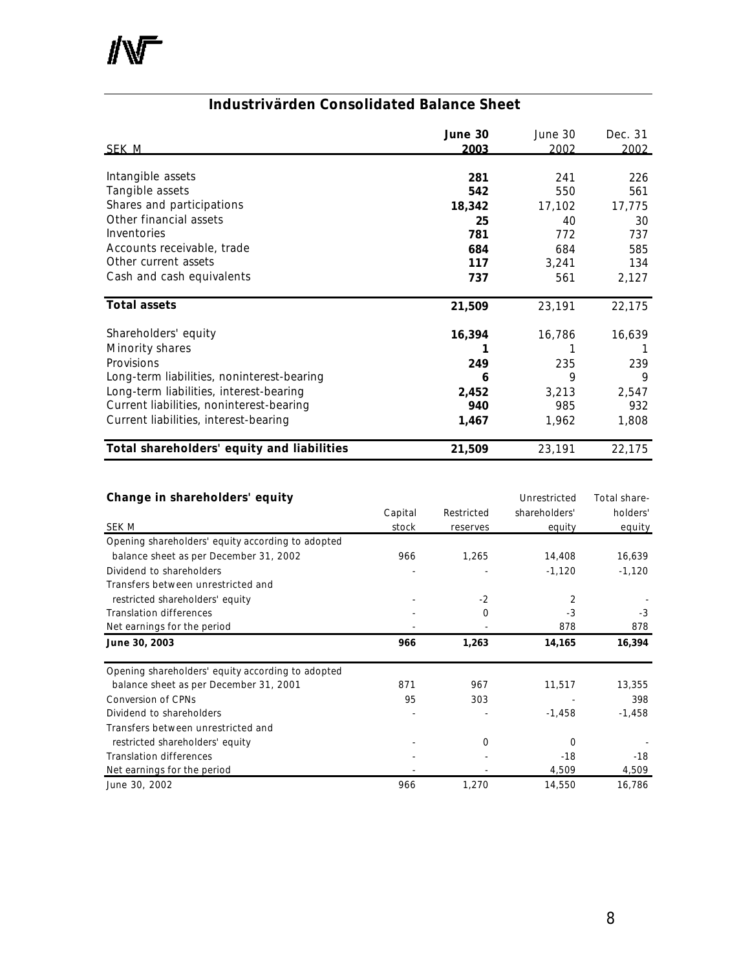$\mathbb{N}$ 

### **Industrivärden Consolidated Balance Sheet**

| SEK M                                      | June 30<br>2003 | June 30<br>2002 | Dec. 31<br>2002 |
|--------------------------------------------|-----------------|-----------------|-----------------|
| Intangible assets                          | 281             | 241             | 226             |
| Tangible assets                            | 542             | 550             | 561             |
| Shares and participations                  | 18,342          | 17,102          | 17,775          |
| Other financial assets                     | 25              | 40              | 30              |
| Inventories                                | 781             | 772             | 737             |
| Accounts receivable, trade                 | 684             | 684             | 585             |
| Other current assets                       | 117             | 3,241           | 134             |
| Cash and cash equivalents                  | 737             | 561             | 2,127           |
| <b>Total assets</b>                        | 21,509          | 23,191          | 22,175          |
| Shareholders' equity                       | 16,394          | 16,786          | 16,639          |
| Minority shares                            |                 |                 |                 |
| Provisions                                 | 249             | 235             | 239             |
| Long-term liabilities, noninterest-bearing | 6               | 9               | 9               |
| Long-term liabilities, interest-bearing    | 2,452           | 3,213           | 2,547           |
| Current liabilities, noninterest-bearing   | 940             | 985             | 932             |
| Current liabilities, interest-bearing      | 1,467           | 1,962           | 1,808           |
| Total shareholders' equity and liabilities | 21,509          | 23,191          | 22,175          |

### **Change in shareholders' equity** and the state of the Unrestricted Total share-

|                                                   | Capital | Restricted | shareholders' | holders' |
|---------------------------------------------------|---------|------------|---------------|----------|
| SEK M                                             | stock   | reserves   | equity        | equity   |
| Opening shareholders' equity according to adopted |         |            |               |          |
| balance sheet as per December 31, 2002            | 966     | 1,265      | 14,408        | 16,639   |
| Dividend to shareholders                          |         |            | $-1,120$      | $-1,120$ |
| Transfers between unrestricted and                |         |            |               |          |
| restricted shareholders' equity                   |         | $-2$       | 2             |          |
| <b>Translation differences</b>                    |         | $\Omega$   | $-3$          | $-3$     |
| Net earnings for the period                       |         |            | 878           | 878      |
| June 30, 2003                                     | 966     | 1,263      | 14,165        | 16,394   |
| Opening shareholders' equity according to adopted |         |            |               |          |
| balance sheet as per December 31, 2001            | 871     | 967        | 11,517        | 13,355   |
| <b>Conversion of CPNs</b>                         | 95      | 303        |               | 398      |
| Dividend to shareholders                          |         |            | $-1,458$      | $-1,458$ |
| Transfers between unrestricted and                |         |            |               |          |
| restricted shareholders' equity                   |         | $\Omega$   | 0             |          |
| <b>Translation differences</b>                    |         |            | $-18$         | $-18$    |
| Net earnings for the period                       |         |            | 4,509         | 4,509    |
| June 30, 2002                                     | 966     | 1,270      | 14,550        | 16,786   |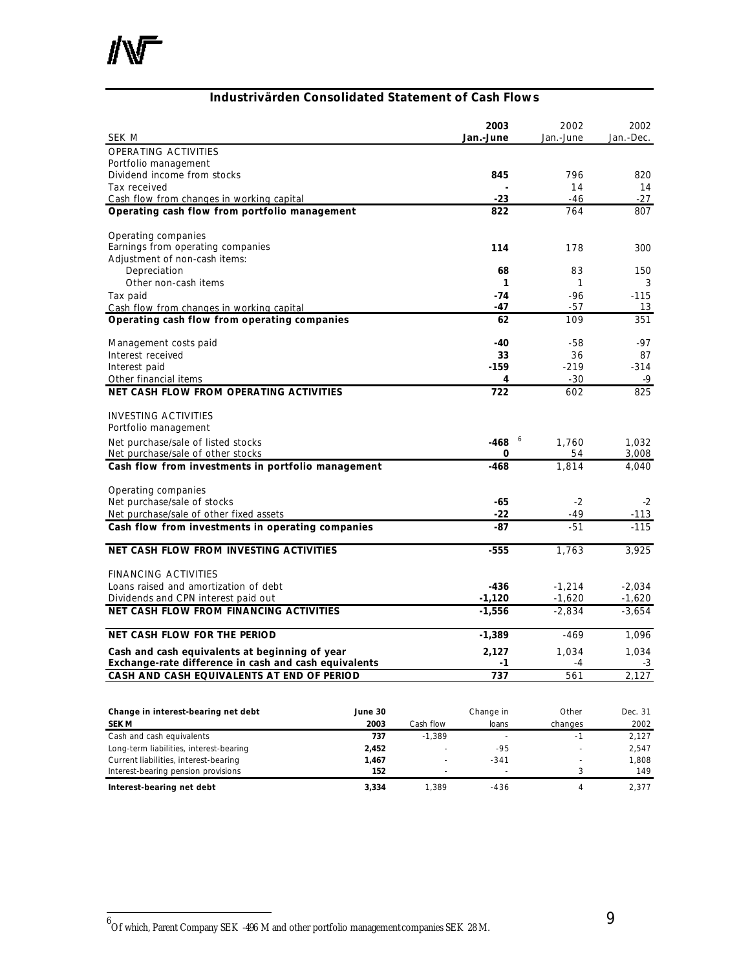### **Industrivärden Consolidated Statement of Cash Flows**

| SEK M                                                                                        |         |           | 2003<br>Jan.-June           | 2002<br>Jan.-June    | 2002<br>Jan.-Dec.    |
|----------------------------------------------------------------------------------------------|---------|-----------|-----------------------------|----------------------|----------------------|
| OPERATING ACTIVITIES                                                                         |         |           |                             |                      |                      |
| Portfolio management                                                                         |         |           |                             |                      |                      |
| Dividend income from stocks                                                                  |         |           | 845                         | 796                  | 820                  |
| Tax received                                                                                 |         |           |                             | 14                   | 14                   |
| Cash flow from changes in working capital                                                    |         |           | $-23$                       | -46                  | -27                  |
| Operating cash flow from portfolio management                                                |         |           | 822                         | 764                  | 807                  |
| Operating companies                                                                          |         |           |                             |                      |                      |
| Earnings from operating companies                                                            |         |           | 114                         | 178                  | 300                  |
| Adjustment of non-cash items:                                                                |         |           |                             |                      |                      |
| Depreciation                                                                                 |         |           | 68                          | 83                   | 150                  |
| Other non-cash items                                                                         |         |           | 1                           | 1                    | 3                    |
| Tax paid                                                                                     |         |           | $-74$<br>-47                | $-96$<br>-57         | $-115$               |
| Cash flow from changes in working capital<br>Operating cash flow from operating companies    |         |           | 62                          | 109                  | 13<br>351            |
|                                                                                              |         |           |                             |                      |                      |
| Management costs paid                                                                        |         |           | -40                         | -58                  | -97                  |
| Interest received                                                                            |         |           | 33                          | 36                   | 87                   |
| Interest paid                                                                                |         |           | $-159$                      | $-219$               | $-314$               |
| Other financial items                                                                        |         |           | 4                           | $-30$                | -9                   |
| NET CASH FLOW FROM OPERATING ACTIVITIES                                                      |         |           | 722                         | 602                  | 825                  |
| <b>INVESTING ACTIVITIES</b>                                                                  |         |           |                             |                      |                      |
| Portfolio management                                                                         |         |           |                             |                      |                      |
| Net purchase/sale of listed stocks                                                           |         |           | $-468$                      | 6<br>1,760           | 1,032                |
| Net purchase/sale of other stocks                                                            |         |           | 0                           | 54                   | 3,008                |
| Cash flow from investments in portfolio management                                           |         |           | $-468$                      | 1,814                | 4,040                |
|                                                                                              |         |           |                             |                      |                      |
| Operating companies                                                                          |         |           |                             |                      |                      |
| Net purchase/sale of stocks                                                                  |         |           | -65                         | $-2$                 | -2                   |
| Net purchase/sale of other fixed assets<br>Cash flow from investments in operating companies |         |           | -22<br>-87                  | -49<br>$-51$         | -113<br>$-115$       |
|                                                                                              |         |           |                             |                      |                      |
| NET CASH FLOW FROM INVESTING ACTIVITIES                                                      |         |           | $-555$                      | 1,763                | 3,925                |
|                                                                                              |         |           |                             |                      |                      |
| <b>FINANCING ACTIVITIES</b>                                                                  |         |           | -436                        |                      |                      |
| Loans raised and amortization of debt<br>Dividends and CPN interest paid out                 |         |           | $-1,120$                    | $-1,214$<br>$-1,620$ | $-2,034$<br>$-1,620$ |
| NET CASH FLOW FROM FINANCING ACTIVITIES                                                      |         |           | $-1,556$                    | $-2,834$             | $-3,654$             |
|                                                                                              |         |           |                             |                      |                      |
| NET CASH FLOW FOR THE PERIOD                                                                 |         |           | -1,389                      | -469                 | 1,096                |
| Cash and cash equivalents at beginning of year                                               |         |           | 2,127                       | 1,034                | 1,034                |
| Exchange-rate difference in cash and cash equivalents                                        |         |           | -1                          | -4                   | $-3$                 |
| CASH AND CASH EQUIVALENTS AT END OF PERIOD                                                   |         |           | 737                         | 561                  | 2,127                |
|                                                                                              |         |           |                             |                      |                      |
| Change in interest-bearing net debt                                                          | June 30 |           | Change in                   | Other                | Dec. 31              |
| SEK M                                                                                        | 2003    | Cash flow | loans                       | changes              | 2002                 |
| Cash and cash equivalents                                                                    | 737     | $-1,389$  | $\mathcal{L}^{\mathcal{A}}$ | $-1$                 | 2,127                |
| Long-term liabilities, interest-bearing                                                      | 2,452   |           | $-95$                       |                      | 2,547                |
| Current liabilities, interest-bearing                                                        | 1,467   |           | $-341$                      |                      | 1,808                |

Interest-bearing pension provisions **152** - 3 149 **Interest-bearing net debt 3,334** 1,389 -436 4 2,377

 6 Of which, Parent Company SEK -496 M and other portfolio management companies SEK 28 M.